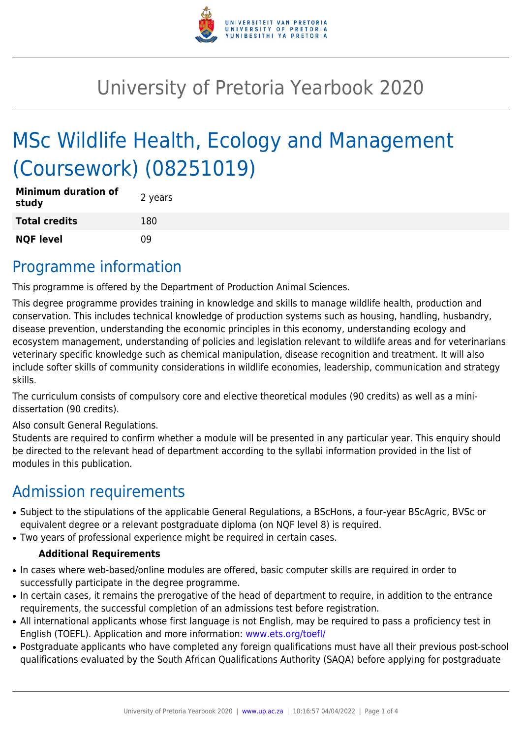

# University of Pretoria Yearbook 2020

# MSc Wildlife Health, Ecology and Management (Coursework) (08251019)

| <b>Minimum duration of</b><br>study | 2 years |
|-------------------------------------|---------|
| <b>Total credits</b>                | 180     |
| <b>NQF level</b>                    | n۹      |

## Programme information

This programme is offered by the Department of Production Animal Sciences.

This degree programme provides training in knowledge and skills to manage wildlife health, production and conservation. This includes technical knowledge of production systems such as housing, handling, husbandry, disease prevention, understanding the economic principles in this economy, understanding ecology and ecosystem management, understanding of policies and legislation relevant to wildlife areas and for veterinarians veterinary specific knowledge such as chemical manipulation, disease recognition and treatment. It will also include softer skills of community considerations in wildlife economies, leadership, communication and strategy skills.

The curriculum consists of compulsory core and elective theoretical modules (90 credits) as well as a minidissertation (90 credits).

Also consult General Regulations.

Students are required to confirm whether a module will be presented in any particular year. This enquiry should be directed to the relevant head of department according to the syllabi information provided in the list of modules in this publication.

## Admission requirements

- Subject to the stipulations of the applicable General Regulations, a BScHons, a four-year BScAgric, BVSc or equivalent degree or a relevant postgraduate diploma (on NQF level 8) is required.
- Two years of professional experience might be required in certain cases.

#### **Additional Requirements**

- In cases where web-based/online modules are offered, basic computer skills are required in order to successfully participate in the degree programme.
- In certain cases, it remains the prerogative of the head of department to require, in addition to the entrance requirements, the successful completion of an admissions test before registration.
- All international applicants whose first language is not English, may be required to pass a proficiency test in English (TOEFL). Application and more information: [www.ets.org/toefl/](http://www.ets.org/toefl/)
- Postgraduate applicants who have completed any foreign qualifications must have all their previous post-school qualifications evaluated by the South African Qualifications Authority (SAQA) before applying for postgraduate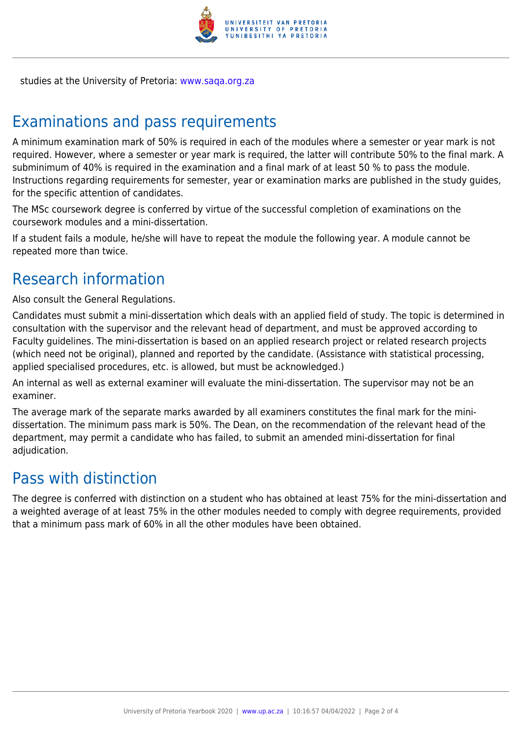

studies at the University of Pretoria: [www.saqa.org.za](http://www.saqa.org.za)

## Examinations and pass requirements

A minimum examination mark of 50% is required in each of the modules where a semester or year mark is not required. However, where a semester or year mark is required, the latter will contribute 50% to the final mark. A subminimum of 40% is required in the examination and a final mark of at least 50 % to pass the module. Instructions regarding requirements for semester, year or examination marks are published in the study guides, for the specific attention of candidates.

The MSc coursework degree is conferred by virtue of the successful completion of examinations on the coursework modules and a mini-dissertation.

If a student fails a module, he/she will have to repeat the module the following year. A module cannot be repeated more than twice.

## Research information

Also consult the General Regulations.

Candidates must submit a mini-dissertation which deals with an applied field of study. The topic is determined in consultation with the supervisor and the relevant head of department, and must be approved according to Faculty guidelines. The mini-dissertation is based on an applied research project or related research projects (which need not be original), planned and reported by the candidate. (Assistance with statistical processing, applied specialised procedures, etc. is allowed, but must be acknowledged.)

An internal as well as external examiner will evaluate the mini-dissertation. The supervisor may not be an examiner.

The average mark of the separate marks awarded by all examiners constitutes the final mark for the minidissertation. The minimum pass mark is 50%. The Dean, on the recommendation of the relevant head of the department, may permit a candidate who has failed, to submit an amended mini-dissertation for final adjudication.

### Pass with distinction

The degree is conferred with distinction on a student who has obtained at least 75% for the mini-dissertation and a weighted average of at least 75% in the other modules needed to comply with degree requirements, provided that a minimum pass mark of 60% in all the other modules have been obtained.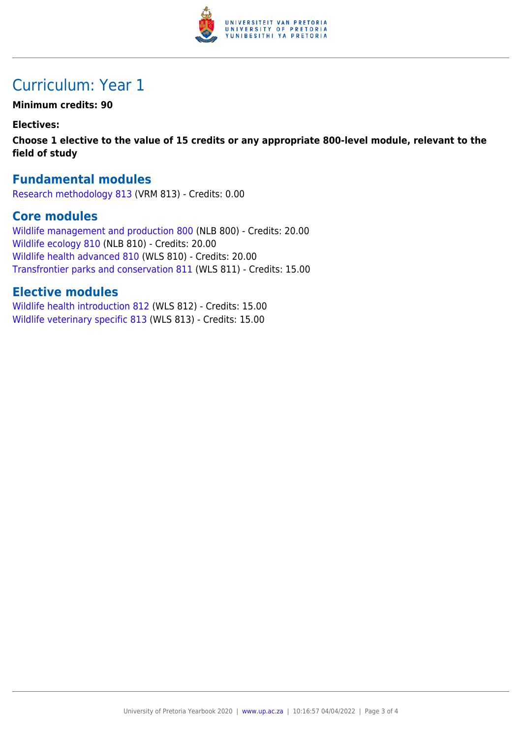

## Curriculum: Year 1

**Minimum credits: 90**

**Electives:**

**Choose 1 elective to the value of 15 credits or any appropriate 800-level module, relevant to the field of study**

#### **Fundamental modules**

[Research methodology 813](https://www.up.ac.za/yearbooks/2020/modules/view/VRM 813) (VRM 813) - Credits: 0.00

#### **Core modules**

[Wildlife management and production 800](https://www.up.ac.za/yearbooks/2020/modules/view/NLB 800) (NLB 800) - Credits: 20.00 [Wildlife ecology 810](https://www.up.ac.za/yearbooks/2020/modules/view/NLB 810) (NLB 810) - Credits: 20.00 [Wildlife health advanced 810](https://www.up.ac.za/yearbooks/2020/modules/view/WLS 810) (WLS 810) - Credits: 20.00 [Transfrontier parks and conservation 811](https://www.up.ac.za/yearbooks/2020/modules/view/WLS 811) (WLS 811) - Credits: 15.00

#### **Elective modules**

[Wildlife health introduction 812](https://www.up.ac.za/yearbooks/2020/modules/view/WLS 812) (WLS 812) - Credits: 15.00 [Wildlife veterinary specific 813](https://www.up.ac.za/yearbooks/2020/modules/view/WLS 813) (WLS 813) - Credits: 15.00